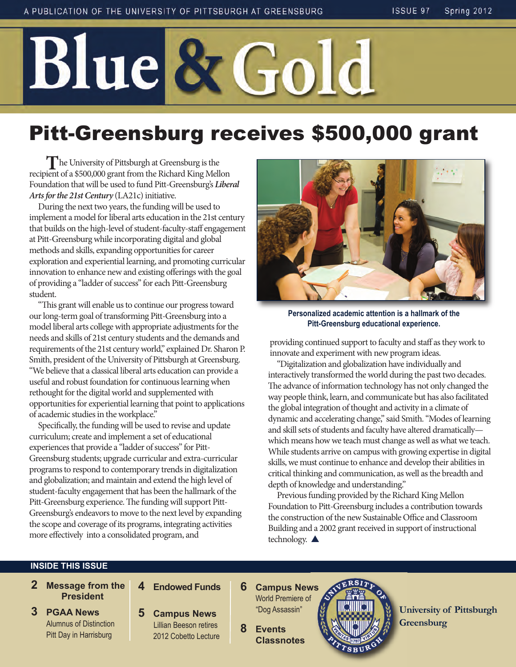# Blue & Gold

# Pitt-Greensburg receives \$500,000 grant

**T**he University of Pittsburgh at Greensburg is the recipient of a \$500,000 grant from the Richard King Mellon Foundation that will be used to fund Pitt-Greensburg's *Liberal Arts for the 21st Century* (LA21c) initiative.

During the next two years, the funding will be used to implement a model for liberal arts education in the 21st century that builds on the high-level of student-faculty-staff engagement at Pitt-Greensburg while incorporating digital and global methods and skills, expanding opportunities for career exploration and experiential learning, and promoting curricular innovation to enhance new and existing offerings with the goal of providing a "ladder of success" for each Pitt-Greensburg student.

"This grant will enable us to continue our progress toward our long-term goal of transforming Pitt-Greensburg into a model liberal arts college with appropriate adjustments for the needs and skills of 21st century students and the demands and requirements of the 21st century world," explained Dr. Sharon P. Smith, president of the University of Pittsburgh at Greensburg. "We believe that a classical liberal arts education can provide a useful and robust foundation for continuous learning when rethought for the digital world and supplemented with opportunities for experiential learning that point to applications of academic studies in the workplace."

Specifically, the funding will be used to revise and update curriculum; create and implement a set of educational experiences that provide a "ladder of success" for Pitt-Greensburg students; upgrade curricular and extra-curricular programs to respond to contemporary trends in digitalization and globalization; and maintain and extend the high level of student-faculty engagement that has been the hallmark of the Pitt-Greensburg experience. The funding will support Pitt-Greensburg's endeavors to move to the next level by expanding the scope and coverage of its programs, integrating activities more effectively into a consolidated program, and



**Personalized academic attention is a hallmark of the Pitt-Greensburg educational experience.** 

providing continued support to faculty and staff as they work to innovate and experiment with new program ideas.

"Digitalization and globalization have individually and interactively transformed the world during the past two decades. The advance of information technology has not only changed the way people think, learn, and communicate but has also facilitated the global integration of thought and activity in a climate of dynamic and accelerating change," said Smith. "Modes of learning and skill sets of students and faculty have altered dramatically which means how we teach must change as well as what we teach. While students arrive on campus with growing expertise in digital skills, we must continue to enhance and develop their abilities in critical thinking and communication, as well as the breadth and depth of knowledge and understanding."

Previous funding provided by the Richard King Mellon Foundation to Pitt-Greensburg includes a contribution towards the construction of the new Sustainable Office and Classroom Building and a 2002 grant received in support of instructional technology.  $\triangle$ 

#### **INSIDE THIS ISSUE**

- **2 Message from the President**
- **3 PGAA News** Alumnus of Distinction Pitt Day in Harrisburg
- **4 Endowed Funds**
- **5 Campus News** Lillian Beeson retires 2012 Cobetto Lecture
- **6 Campus News** World Premiere of "Dog Assassin"
- **8 Events Classnotes**



**University of Pittsburgh Greensburg**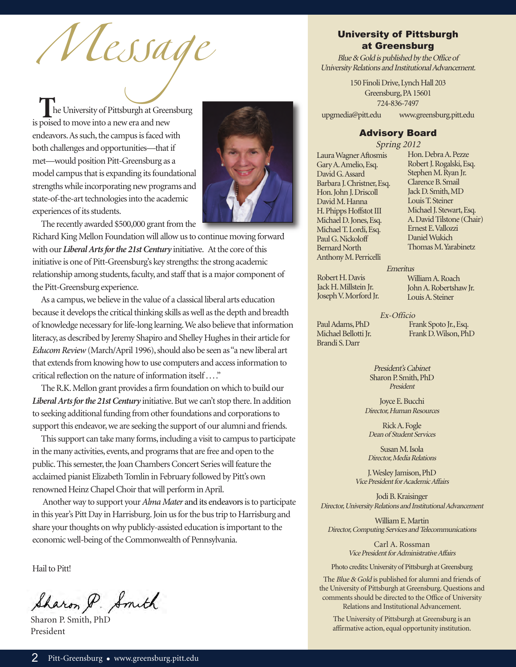Message

**The University of Pittsburgh at Greensburg** is poised to move into a new era and new endeavors. As such, the campus is faced with both challenges and opportunities—that if met—would position Pitt-Greensburg as a model campus that is expanding its foundational strengths while incorporating new programs and state-of-the-art technologies into the academic experiences of its students.



The recently awarded \$500,000 grant from the

Richard King Mellon Foundation will allow us to continue moving forward with our *Liberal Arts for the 21st Century* initiative. At the core of this initiative is one of Pitt-Greensburg's key strengths: the strong academic relationship among students, faculty, and staff that is a major component of the Pitt-Greensburg experience.

As a campus, we believe in the value of a classical liberal arts education because it develops the critical thinking skills as well as the depth and breadth of knowledge necessary for life-long learning. We also believe that information literacy, as described by Jeremy Shapiro and Shelley Hughes in their article for *Educom Review*(March/April 1996), should also be seen as "a new liberal art that extends from knowing how to use computers and access information to critical reflection on the nature of information itself . . . ."

The R.K. Mellon grant provides a firm foundation on which to build our *Liberal Arts for the 21st Century* initiative. But we can't stop there. In addition to seeking additional funding from other foundations and corporations to support this endeavor, we are seeking the support of our alumni and friends.

This support can take many forms, including a visit to campus to participate in the many activities, events, and programs that are free and open to the public. This semester, the Joan Chambers Concert Series will feature the acclaimed pianist Elizabeth Tomlin in February followed by Pitt's own renowned Heinz Chapel Choir that will perform in April.

Another way to support your *Alma Mater* and its endeavors is to participate in this year's Pitt Day in Harrisburg. Join us for the bus trip to Harrisburg and share your thoughts on why publicly-assisted education is important to the economic well-being of the Commonwealth of Pennsylvania.

Hail to Pitt!

Sharon P. Smith

Sharon P. Smith, PhD President

#### University of Pittsburgh at Greensburg

Blue & Gold is published by the Office of University Relations and Institutional Advancement.

> 150 Finoli Drive, Lynch Hall 203 Greensburg, PA 15601 724-836-7497

upgmedia@pitt.edu www.greensburg.pitt.edu

#### Advisory Board

Laura Wagner Aftosmis Gary A. Amelio, Esq. David G. Assard Barbara J. Christner, Esq. Hon. John J. Driscoll David M. Hanna H. Phipps Hoffstot III Michael D. Jones, Esq. Michael T. Lordi, Esq. Paul G. Nickoloff Bernard North Anthony M. Perricelli

Spring 2012 Hon. Debra A. Pezze Robert J. Rogalski, Esq. Stephen M. Ryan Jr. Clarence B. Smail Jack D. Smith, MD Louis T. Steiner Michael J. Stewart, Esq. A. David Tilstone (Chair) Ernest E. Vallozzi Daniel Wukich Thomas M. Yarabinetz

Robert H. Davis Jack H. Millstein Jr. Joseph V. Morford Jr. Emeritus William A. Roach John A. Robertshaw Jr. Louis A. Steiner

Ex-Officio

Paul Adams, PhD Michael Bellotti Jr. Brandi S. Darr

Frank Spoto Jr., Esq. Frank D. Wilson, PhD

President's Cabinet Sharon P. Smith, PhD President

Joyce E. Bucchi Director, Human Resources

Rick A. Fogle Dean of Student Services

Susan M. Isola Director, Media Relations

J. Wesley Jamison, PhD Vice President for Academic Affairs

Jodi B. Kraisinger Director, University Relations and Institutional Advancement

William E. Martin Director, Computing Services and Telecommunications

> Carl A. Rossman Vice President for Administrative Affairs

Photo credits: University of Pittsburgh at Greensburg

The *Blue & Gold* is published for alumni and friends of the University of Pittsburgh at Greensburg. Questions and comments should be directed to the Office of University Relations and Institutional Advancement.

The University of Pittsburgh at Greensburg is an affirmative action, equal opportunity institution.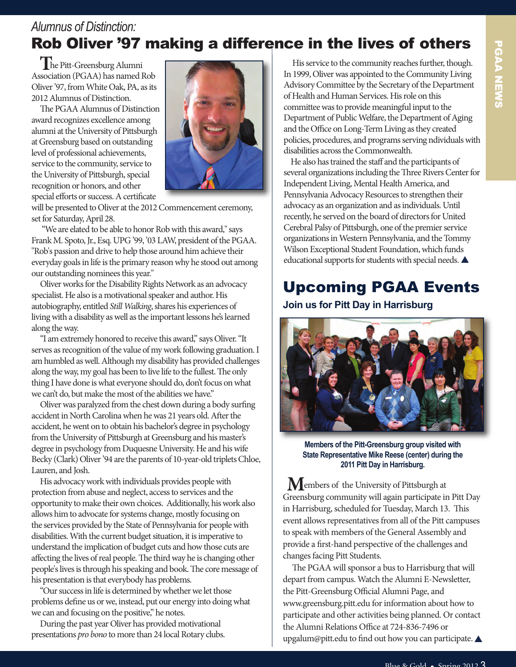#### *Alumnus of Distinction:* Rob Oliver '97 making a difference in the lives of others

**T**he Pitt-Greensburg Alumni Association (PGAA) has named Rob Oliver '97, from White Oak, PA, as its 2012 Alumnus of Distinction.

The PGAA Alumnus of Distinction award recognizes excellence among alumni at the University of Pittsburgh at Greensburg based on outstanding level of professional achievements, service to the community, service to the University of Pittsburgh, special recognition or honors, and other special efforts or success. A certificate



will be presented to Oliver at the 2012 Commencement ceremony, set for Saturday, April 28.

"We are elated to be able to honor Rob with this award," says Frank M. Spoto, Jr., Esq. UPG '99, '03 LAW, president of the PGAA. "Rob's passion and drive to help those around him achieve their everyday goals in life is the primary reason why he stood out among our outstanding nominees this year."

Oliver works for the Disability Rights Network as an advocacy specialist. He also is a motivational speaker and author. His autobiography, entitled Still Walking, shares his experiences of living with a disability as well as the important lessons he's learned along the way.

"I am extremely honored to receive this award," says Oliver. "It serves as recognition of the value of my work following graduation. I am humbled as well. Although my disability has provided challenges along the way, my goal has been to live life to the fullest. The only thing I have done is what everyone should do, don't focus on what we can't do, but make the most of the abilities we have."

Oliver was paralyzed from the chest down during a body surfing accident in North Carolina when he was 21 years old. After the accident, he went on to obtain his bachelor's degree in psychology from the University of Pittsburgh at Greensburg and his master's degree in psychology from Duquesne University. He and his wife Becky (Clark) Oliver '94 are the parents of 10-year-old triplets Chloe, Lauren, and Josh.

His advocacy work with individuals provides people with protection from abuse and neglect, access to services and the opportunity to make their own choices. Additionally, his work also allows him to advocate for systems change, mostly focusing on the services provided by the State of Pennsylvania for people with disabilities. With the current budget situation, it is imperative to understand the implication of budget cuts and how those cuts are affecting the lives of real people. The third way he is changing other people's lives is through his speaking and book. The core message of his presentation is that everybody has problems.

"Our success in life is determined by whether we let those problems define us or we, instead, put our energy into doing what we can and focusing on the positive," he notes.

During the past year Oliver has provided motivational presentations pro bono to more than 24 local Rotary clubs.

His service to the community reaches further, though. In 1999, Oliver was appointed to the Community Living Advisory Committee by the Secretary of the Department of Health and Human Services. His role on this committee was to provide meaningful input to the Department of Public Welfare, the Department of Aging and the Office on Long-Term Living as they created policies, procedures, and programs serving ndividuals with disabilities across the Commonwealth.

He also has trained the staff and the participants of several organizations including the Three Rivers Center for Independent Living, Mental Health America, and Pennsylvania Advocacy Resources to strengthen their advocacy as an organization and as individuals. Until recently, he served on the board of directors for United Cerebral Palsy of Pittsburgh, one of the premier service organizations in Western Pennsylvania, and the Tommy Wilson Exceptional Student Foundation, which funds educational supports for students with special needs.  $\blacktriangle$ 

## Upcoming PGAA Events

**Join us for Pitt Day in Harrisburg**



**Members of the Pitt-Greensburg group visited with State Representative Mike Reese (center) during the 2011 Pitt Day in Harrisburg.**

**M**embers of the University of Pittsburgh at Greensburg community will again participate in Pitt Day in Harrisburg, scheduled for Tuesday, March 13. This event allows representatives from all of the Pitt campuses to speak with members of the General Assembly and provide a first-hand perspective of the challenges and changes facing Pitt Students.

The PGAA will sponsor a bus to Harrisburg that will depart from campus. Watch the Alumni E-Newsletter, the Pitt-Greensburg Official Alumni Page, and www.greensburg.pitt.edu for information about how to participate and other activities being planned. Or contact the Alumni Relations Office at 724-836-7496 or upgalum@pitt.edu to find out how you can participate.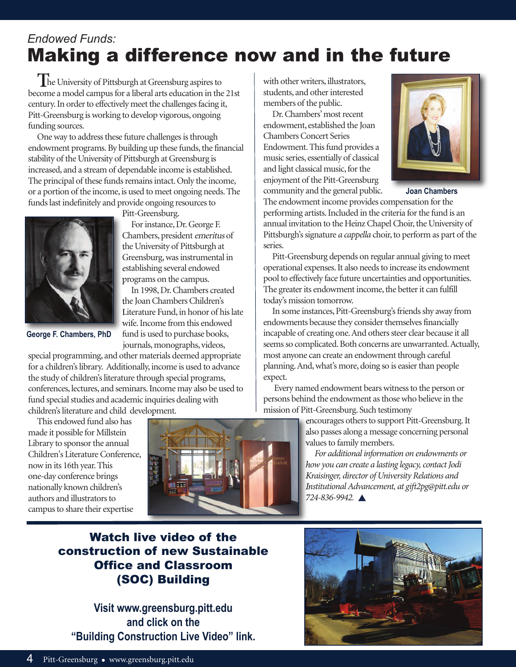### *Endowed Funds:* Making a difference now and in the future

**T**he University of Pittsburgh at Greensburg aspires to become a model campus for a liberal arts education in the 21st century. In order to effectively meet the challenges facing it, Pitt-Greensburg is working to develop vigorous, ongoing funding sources.

One way to address these future challenges is through endowment programs. By building up these funds, the financial stability of the University of Pittsburgh at Greensburg is increased, and a stream of dependable income is established. The principal of these funds remains intact. Only the income, or a portion of the income, is used to meet ongoing needs. The funds last indefinitely and provide ongoing resources to



Pitt-Greensburg.

For instance, Dr. George F. Chambers, president emeritus of the University of Pittsburgh at Greensburg, was instrumental in establishing several endowed programs on the campus.

In 1998, Dr. Chambers created the Joan Chambers Children's Literature Fund, in honor of his late wife. Income from this endowed fund is used to purchase books, journals, monographs, videos,

special programming, and other materials deemed appropriate for a children's library. Additionally, income is used to advance the study of children's literature through special programs, conferences, lectures, and seminars. Income may also be used to fund special studies and academic inquiries dealing with children's literature and child development.

This endowed fund also has made it possible for Millstein Library to sponsor the annual Children's Literature Conference, now in its 16th year. This one-day conference brings nationally known children's authors and illustrators to campus to share their expertise



with other writers, illustrators, students, and other interested members of the public.

Dr. Chambers' most recent endowment, established the Joan Chambers Concert Series Endowment. This fund provides a music series, essentially of classical and light classical music, for the enjoyment of the Pitt-Greensburg community and the general public.



**Joan Chambers**

The endowment income provides compensation for the performing artists. Included in the criteria for the fund is an annual invitation to the Heinz Chapel Choir, the University of Pittsburgh's signature a cappella choir, to perform as part of the series.

Pitt-Greensburg depends on regular annual giving to meet operational expenses. It also needs to increase its endowment pool to effectively face future uncertainties and opportunities. The greater its endowment income, the better it can fulfill today's mission tomorrow.

In some instances, Pitt-Greensburg's friends shy away from endowments because they consider themselves financially incapable of creating one. And others steer clear because it all seems so complicated. Both concerns are unwarranted. Actually, most anyone can create an endowment through careful planning. And, what's more, doing so is easier than people expect.

Every named endowment bears witness to the person or persons behind the endowment as those who believe in the mission of Pitt-Greensburg. Such testimony

> encourages others to support Pitt-Greensburg. It also passes along a message concerning personal values to family members.

For additional information on endowments or how you can create a lasting legacy, contact Jodi Kraisinger, director of University Relations and Institutional Advancement, at gift2pg@pitt.edu or 724-836-9942. **A** 

#### watch live video of the construction of new Sustainable Office and Classroom (sOC) Building

**Visit www.greensburg.pitt.edu and click on the "Building Construction Live Video" link.**

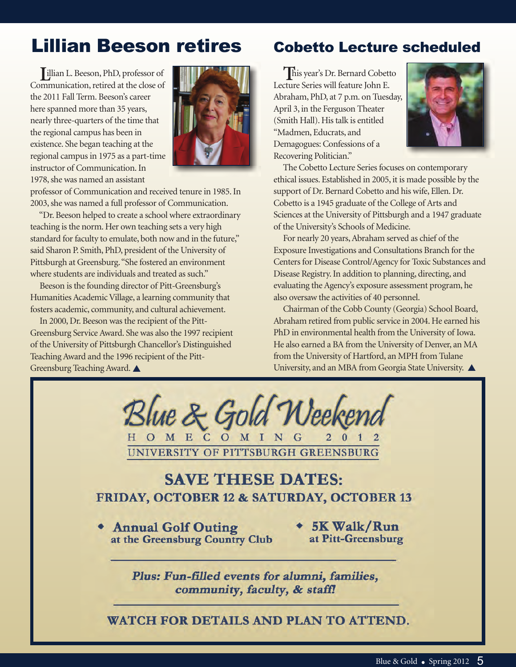# Lillian Beeson retires

**L**illian L. Beeson, PhD, professor of Communication, retired at the close of the 2011 Fall Term. Beeson's career here spanned more than 35 years, nearly three-quarters of the time that the regional campus has been in existence. She began teaching at the regional campus in 1975 as a part-time instructor of Communication. In 1978, she was named an assistant



professor of Communication and received tenure in 1985. In 2003, she was named a full professor of Communication.

"Dr. Beeson helped to create a school where extraordinary teaching is the norm. Her own teaching sets a very high standard for faculty to emulate, both now and in the future," said Sharon P. Smith, PhD, president of the University of Pittsburgh at Greensburg. "She fostered an environment where students are individuals and treated as such."

Beeson is the founding director of Pitt-Greensburg's Humanities Academic Village, a learning community that fosters academic, community, and cultural achievement.

In 2000, Dr. Beeson was the recipient of the Pitt-Greensburg Service Award. She was also the 1997 recipient of the University of Pittsburgh Chancellor's Distinguished Teaching Award and the 1996 recipient of the Pitt-Greensburg Teaching Award.

#### Cobetto Lecture scheduled

**T**his year's Dr. Bernard Cobetto Lecture Series will feature John E. Abraham, PhD, at 7 p.m. on Tuesday, April 3, in the Ferguson Theater (Smith Hall). His talk is entitled "Madmen, Educrats, and Demagogues: Confessions of a Recovering Politician."



The Cobetto Lecture Series focuses on contemporary ethical issues. Established in 2005, it is made possible by the support of Dr. Bernard Cobetto and his wife, Ellen. Dr. Cobetto is a 1945 graduate of the College of Arts and Sciences at the University of Pittsburgh and a 1947 graduate of the University's Schools of Medicine.

For nearly 20 years, Abraham served as chief of the Exposure Investigations and Consultations Branch for the Centers for Disease Control/Agency for Toxic Substances and Disease Registry.In addition to planning, directing, and evaluating the Agency's exposure assessment program, he also oversaw the activities of 40 personnel.

Chairman of the Cobb County (Georgia) School Board, Abraham retired from public service in 2004. He earned his PhD in environmental health from the University of Iowa. He also earned a BA from the University of Denver, an MA from the University of Hartford, an MPH from Tulane University, and an MBA from Georgia State University.



#### **SAVE THESE DATES:** FRIDAY, OCTOBER 12 & SATURDAY, OCTOBER 13

- **Annual Golf Outing** at the Greensburg Country Club
- \* 5K Walk/Run at Pitt-Greensburg

Plus: Fun-filled events for alumni, families, community, faculty, & staff!

WATCH FOR DETAILS AND PLAN TO ATTEND.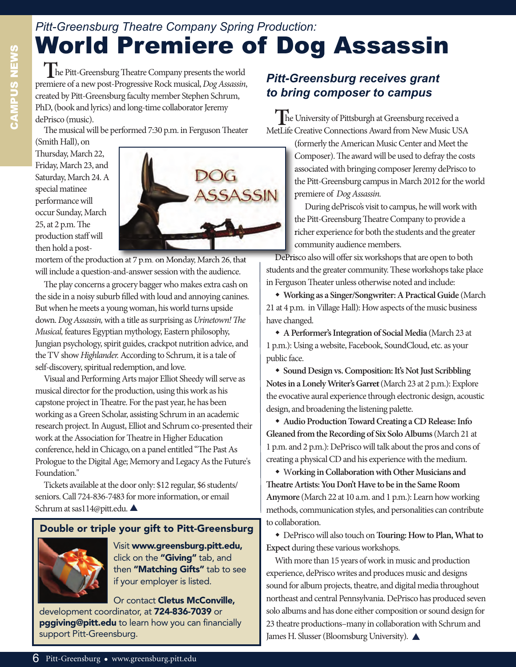# *Pitt-Greensburg Theatre Company Spring Production:* world Premiere of Dog Assassin

The Pitt-Greensburg Theatre Company presents the world premiere of a new post-Progressive Rock musical, Dog Assassin, created by Pitt-Greensburg faculty member Stephen Schrum, PhD, (book and lyrics) and long-time collaborator Jeremy dePrisco (music).

The musical will be performed 7:30 p.m. in Ferguson Theater

(Smith Hall), on Thursday, March 22, Friday, March 23, and Saturday, March 24. A special matinee performance will occur Sunday, March  $25$ , at  $2$  p.m. The production staff will then hold a post-



mortem of the production at 7 p.m. on Monday, March 26, that will include a question-and-answer session with the audience.

The play concerns a grocery bagger who makes extra cash on the side in a noisy suburb filled with loud and annoying canines. But when he meets a young woman, his world turns upside down. Dog Assassin, with a title as surprising as Urinetown! The Musical, features Egyptian mythology, Eastern philosophy, Jungian psychology, spirit guides, crackpot nutrition advice, and the TV show Highlander. According to Schrum, it is a tale of self-discovery, spiritual redemption, and love.

Visual and Performing Arts major Elliot Sheedy will serve as musical director for the production, using this work as his capstone project in Theatre. For the past year, he has been working as a Green Scholar, assisting Schrum in an academic research project. In August, Elliot and Schrum co-presented their work at the Association for Theatre in Higher Education conference, held in Chicago, on a panel entitled "The Past As Prologue to the Digital Age; Memory and Legacy As the Future's Foundation."

Tickets available at the door only: \$12 regular, \$6 students/ seniors. Call 724-836-7483 for more information, or email Schrum at sas114@pitt.edu.

#### **Double or triple your gift to Pitt-Greensburg**



Visit **www.greensburg.pitt.edu,** click on the **"Giving"** tab, and then **"Matching Gifts"** tab to see if your employer is listed.

Or contact **Cletus McConville,** development coordinator, at **724-836-7039** or **pggiving@pitt.edu** to learn how you can financially support Pitt-Greensburg.

#### *Pitt-Greensburg receives grant to bring composer to campus*

**T**he University of Pittsburgh at Greensburg received a MetLife Creative Connections Award from New Music USA

> (formerly the American Music Center and Meet the Composer). The award will be used to defray the costs associated with bringing composer Jeremy dePrisco to the Pitt-Greensburg campus in March 2012 for the world premiere of Dog Assassin.

During dePrisco's visit to campus, he will work with the Pitt-Greensburg Theatre Company to provide a richer experience for both the students and the greater community audience members.

DePrisco also will offer six workshops that are open to both students and the greater community. These workshops take place in Ferguson Theater unless otherwise noted and include:

w **Working as a Singer/Songwriter: A Practical Guide** (March 21 at 4 p.m. in Village Hall): How aspects of the music business have changed.

w **A Performer's Integration of Social Media** (March 23 at 1 p.m.): Using a website, Facebook, SoundCloud, etc. as your public face.

w **Sound Design vs. Composition: It's Not Just Scribbling Notes in a Lonely Writer's Garret** (March 23 at 2 p.m.): Explore the evocative aural experience through electronic design, acoustic design, and broadening the listening palette.

w **Audio Production Toward Creating a CD Release: Info Gleaned from the Recording of Six Solo Albums**(March 21 at 1 p.m. and 2 p.m.): DePrisco will talk about the pros and cons of creating a physical CD and his experience with the medium.

w W**orking in Collaboration with Other Musicians and eatre Artists: You Don't Have to be in the Same Room Anymore** (March 22 at 10 a.m. and 1 p.m.): Learn how working methods, communication styles, and personalities can contribute to collaboration.

w DePrisco will also touch on **Touring: How to Plan, What to Expect** during these various workshops.

With more than 15 years of work in music and production experience, dePrisco writes and produces music and designs sound for album projects, theatre, and digital media throughout northeast and central Pennsylvania. DePrisco has produced seven solo albums and has done either composition or sound design for 23 theatre productions–many in collaboration with Schrum and James H. Slusser (Bloomsburg University).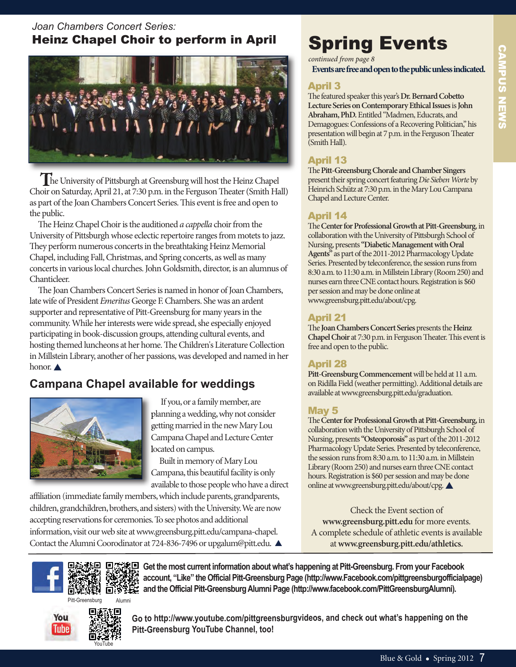# CAMPUs NEws **CAMPUS NEWS**

#### *Joan Chambers Concert Series:* Heinz Chapel Choir to perform in April



**T**he University of Pittsburgh at Greensburg will host the Heinz Chapel Choir on Saturday, April 21, at 7:30 p.m. in the Ferguson Theater (Smith Hall) as part of the Joan Chambers Concert Series. This event is free and open to the public.

The Heinz Chapel Choir is the auditioned a cappella choir from the University of Pittsburgh whose eclectic repertoire ranges from motets to jazz. They perform numerous concerts in the breathtaking Heinz Memorial Chapel, including Fall, Christmas, and Spring concerts, as well as many concerts in various local churches. John Goldsmith, director, is an alumnus of Chanticleer.

The Joan Chambers Concert Series is named in honor of Joan Chambers, late wife of President Emeritus George F. Chambers. She was an ardent supporter and representative of Pitt-Greensburg for many years in the community. While her interests were wide spread, she especially enjoyed participating in book-discussion groups, attending cultural events, and hosting themed luncheons at her home. The Children's Literature Collection in Millstein Library, another of her passions, was developed and named in her honor.  $\triangle$ 

#### **Campana Chapel available for weddings**



If you, or a family member, are planning a wedding, why not consider getting married in the new Mary Lou Campana Chapel and Lecture Center located on campus.

Built in memory of Mary Lou Campana, this beautiful facility is only available to those people who have a direct

affiliation (immediate family members, which include parents, grandparents, children, grandchildren, brothers, and sisters) with the University. We are now accepting reservations for ceremonies. To see photos and additional information, visit our web site at www.greensburg.pitt.edu/campana-chapel. Contact the Alumni Coorodinator at 724-836-7496 or upgalum@pitt.edu.

# spring Events

*continued from page 8*

**Events are free and open to the public unless indicated.**

#### April 3

The featured speaker this year's Dr. Bernard Cobetto **Lecture Series on Contemporary Ethical Issues**is **John Abraham, PhD.**Entitled "Madmen, Educrats, and Demagogues: Confessions of a Recovering Politician," his presentation will begin at 7 p.m. in the Ferguson Theater (Smith Hall).

#### April 13

**The Pitt-Greensburg Chorale and Chamber Singers** present their spring concert featuring Die Sieben Worte by Heinrich Schütz at 7:30 p.m. in the Mary Lou Campana Chapel and Lecture Center.

#### April 14

e **Center for Professional Growth at Pitt-Greensburg**, in collaboration with the University of Pittsburgh School of Nursing, presents **"Diabetic Management with Oral Agents"** as part of the 2011-2012 Pharmacology Update Series. Presented by teleconference, the session runs from 8:30 a.m. to 11:30 a.m. in Millstein Library (Room 250) and nurses earn three CNE contact hours. Registration is \$60 per session and may be done online at www.greensburg.pitt.edu/about/cpg.

#### April 21

The **Joan Chambers Concert Series** presents the **Heinz Chapel Choir at 7:30 p.m. in Ferguson Theater. This event is** free and open to the public.

#### April 28

**Pitt-Greensburg Commencement**will be held at 11 a.m. on Ridilla Field (weather permitting). Additional details are available at www.greensburg.pitt.edu/graduation.

#### May 5

e **Center for Professional Growth at Pitt-Greensburg,**in collaboration with the University of Pittsburgh School of Nursing, presents **"Osteoporosis"** as part of the 2011-2012 Pharmacology Update Series. Presented by teleconference, the session runs from 8:30 a.m. to 11:30 a.m. in Millstein Library (Room 250) and nurses earn three CNE contact hours. Registration is \$60 per session and may be done online at www.greensburg.pitt.edu/about/cpg.

Check the Event section of **www.greensburg.pitt.edu** for more events. A complete schedule of athletic events is available at**www.greensburg.pitt.edu/athletics.**



Pitt-Greensburg



**Go to http://www.youtube.com/pittgreensburgvideos, and check out what's happening on the Pitt-Greensburg YouTube Channel, too!** 

**Get the most current information about what's happening at Pitt-Greensburg. From your Facebook account, "Like" the Official Pitt-Greensburg Page (http://www.Facebook.com/pittgreensburgofficialpage)**

**and the Official Pitt-Greensburg Alumni Page (http://www.facebook.com/PittGreensburgAlumni).**